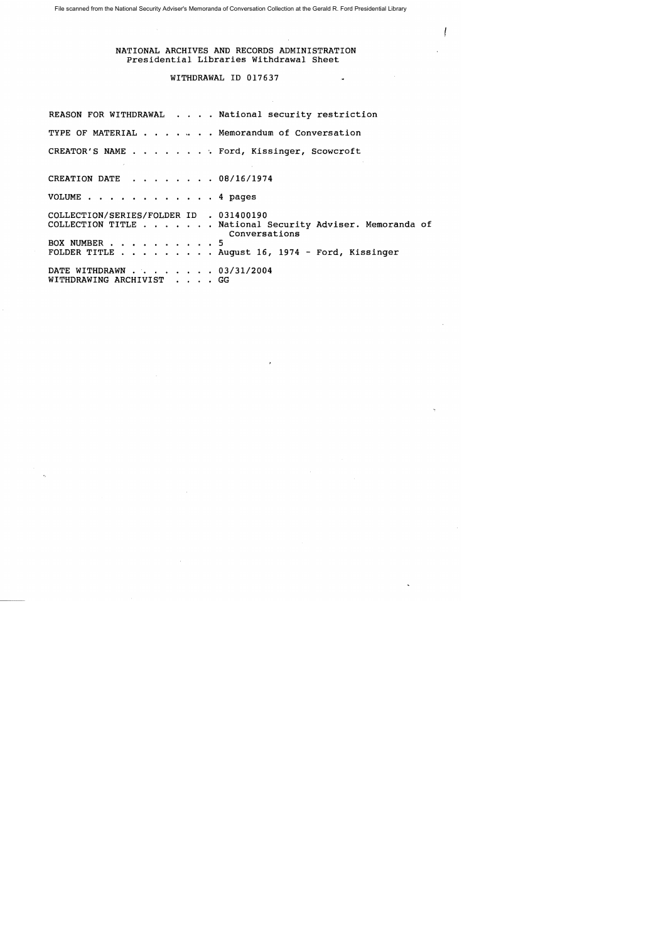File scanned from the National Security Adviser's Memoranda of Conversation Collection at the Gerald R. Ford Presidential Library

NATIONAL ARCHIVES AND RECORDS ADMINISTRATION Presidential Libraries Withdrawal Sheet

## WITHDRAWAL ID 017637

REASON FOR WITHDRAWAL . . . . National security restriction TYPE OF MATERIAL . . . . . . Memorandum of Conversation CREATOR'S NAME . . . . . . . . Ford, Kissinger, Scowcroft CREATION DATE . . . . . . . 08/16/1974 VOLUME . . . . . . . . . . . . 4 pages COLLECTION/SERIES/FOLDER ID . 031400190 COLLECTION TITLE . . ... National Security Adviser. Memoranda of Conversations BOX NUMBER . . . . . . . . . . 5 FOLDER TITLE  $\ldots$  . . . . . . August 16, 1974 - Ford, Kissinger DATE WITHDRAWN . . . . . . . 03/31/2004 WITHDRAWING ARCHIVIST . . . . GG